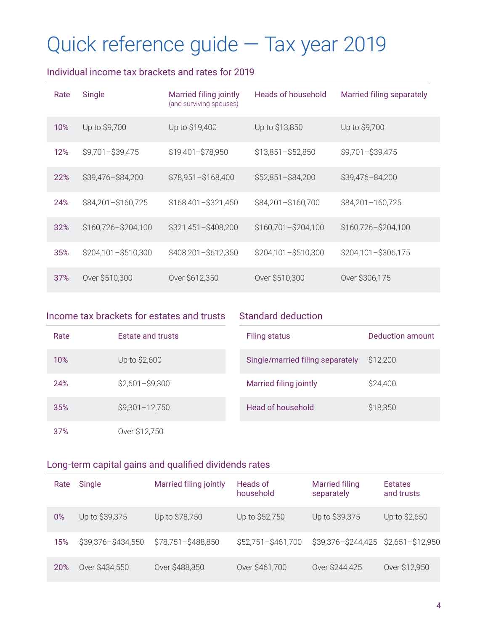# Quick reference guide — Tax year 2019

## Individual income tax brackets and rates for 2019

| Rate | Single              | Married filing jointly<br>(and surviving spouses) | <b>Heads of household</b> | Married filing separately |
|------|---------------------|---------------------------------------------------|---------------------------|---------------------------|
| 10%  | Up to \$9,700       | Up to \$19,400                                    | Up to \$13,850            | Up to \$9,700             |
| 12%  | $$9,701 - $39,475$  | \$19,401-\$78,950                                 | $$13,851 - $52,850$       | \$9,701-\$39,475          |
| 22%  | \$39,476-\$84,200   | \$78,951-\$168,400                                | $$52,851 - $84,200$       | \$39,476-84,200           |
| 24%  | \$84,201-\$160,725  | \$168,401-\$321,450                               | \$84,201-\$160,700        | \$84,201-160,725          |
| 32%  | \$160,726-\$204,100 | \$321,451-\$408,200                               | \$160,701-\$204,100       | \$160,726-\$204,100       |
| 35%  | \$204,101-\$510,300 | \$408,201-\$612,350                               | \$204,101-\$510,300       | \$204,101-\$306,175       |
| 37%  | Over \$510,300      | Over \$612,350                                    | Over \$510,300            | Over \$306,175            |

#### Income tax brackets for estates and trusts

Standard deduction

| Rate | <b>Estate and trusts</b> | <b>Filing status</b>             | Deduction amount |
|------|--------------------------|----------------------------------|------------------|
| 10%  | Up to \$2,600            | Single/married filing separately | \$12,200         |
| 24%  | $$2,601 - $9,300$        | Married filing jointly           | \$24,400         |
| 35%  | $$9,301 - 12,750$        | <b>Head of household</b>         | \$18,350         |
| 37%  | Over \$12,750            |                                  |                  |

#### Long-term capital gains and qualified dividends rates

| Rate  | Single             | <b>Married filing jointly</b> | Heads of<br>household | <b>Married filing</b><br>separately | <b>Estates</b><br>and trusts |
|-------|--------------------|-------------------------------|-----------------------|-------------------------------------|------------------------------|
| $0\%$ | Up to \$39,375     | Up to \$78,750                | Up to \$52,750        | Up to \$39,375                      | Up to \$2,650                |
| 15%   | \$39,376-\$434,550 | \$78,751-\$488,850            | \$52,751-\$461,700    | \$39,376-\$244,425 \$2,651-\$12,950 |                              |
| 20%   | Over \$434,550     | Over \$488,850                | Over \$461,700        | Over \$244,425                      | Over \$12,950                |